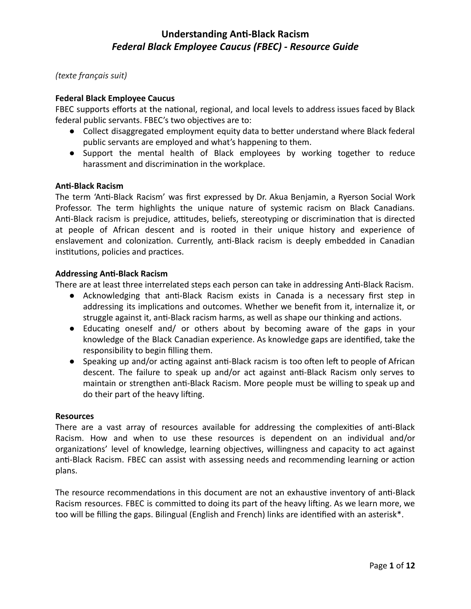*(texte français suit)*

#### **Federal Black Employee Caucus**

FBEC supports efforts at the national, regional, and local levels to address issues faced by Black federal public servants. FBEC's two objectives are to:

- Collect disaggregated employment equity data to better understand where Black federal public servants are employed and what's happening to them.
- Support the mental health of Black employees by working together to reduce harassment and discrimination in the workplace.

#### **Anti-Black Racism**

The term 'Anti-Black Racism' was first expressed by Dr. Akua Benjamin, a Ryerson Social Work Professor. The term highlights the unique nature of systemic racism on Black Canadians. Anti-Black racism is prejudice, attitudes, beliefs, stereotyping or discrimination that is directed at people of African descent and is rooted in their unique history and experience of enslavement and colonization. Currently, anti-Black racism is deeply embedded in Canadian institutions, policies and practices.

#### **Addressing Anti-Black Racism**

There are at least three interrelated steps each person can take in addressing Anti-Black Racism.

- Acknowledging that anti-Black Racism exists in Canada is a necessary first step in addressing its implications and outcomes. Whether we benefit from it, internalize it, or struggle against it, anti-Black racism harms, as well as shape our thinking and actions.
- Educating oneself and/ or others about by becoming aware of the gaps in your knowledge of the Black Canadian experience. As knowledge gaps are identified, take the responsibility to begin filling them.
- Speaking up and/or acting against anti-Black racism is too often left to people of African descent. The failure to speak up and/or act against anti-Black Racism only serves to maintain or strengthen anti-Black Racism. More people must be willing to speak up and do their part of the heavy lifting.

#### **Resources**

There are a vast array of resources available for addressing the complexities of anti-Black Racism. How and when to use these resources is dependent on an individual and/or organizations' level of knowledge, learning objectives, willingness and capacity to act against anti-Black Racism. FBEC can assist with assessing needs and recommending learning or action plans.

The resource recommendations in this document are not an exhaustive inventory of anti-Black Racism resources. FBEC is committed to doing its part of the heavy lifting. As we learn more, we too will be filling the gaps. Bilingual (English and French) links are identified with an asterisk\*.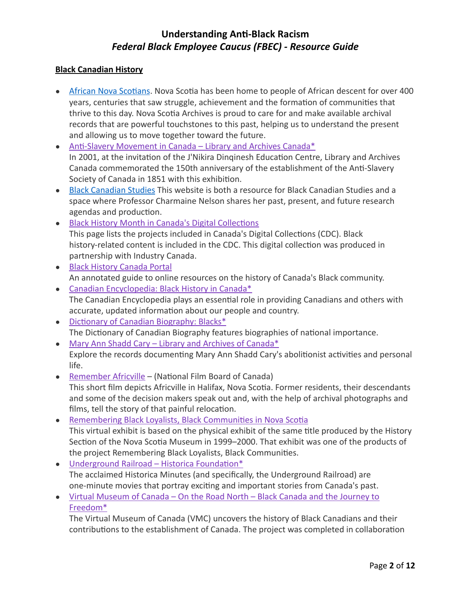### **Black Canadian History**

- African Nova Scotians. Nova Scotia has been home to people of African descent for over 400 years, centuries that saw struggle, achievement and the formation of communities that thrive to this day. Nova Scotia Archives is proud to care for and make available archival records that are powerful touchstones to this past, helping us to understand the present and allowing us to move together toward the future.
- Anti-Slavery Movement in Canada Library and Archives Canada\* In 2001, at the invitation of the J'Nikira Dinginesh Education Centre, Library and Archives Canada commemorated the 150th anniversary of the establishment of the Anti-Slavery Society of Canada in 1851 with this exhibition.
- [Black Canadian Studies](https://www.blackcanadianstudies.com/) This website is both a resource for Black Canadian Studies and a space where Professor Charmaine Nelson shares her past, present, and future research agendas and production.
- Black History Month in Canada's Digital Collections This page lists the projects included in Canada's Digital Collections (CDC). Black history-related content is included in the CDC. This digital collection was produced in partnership with Industry Canada.
- [Black History Canada Portal](http://blackhistorycanada.ca/) An annotated guide to online resources on the history of Canada's Black community.
- [Canadian Encyclopedia: Black History in Canada\\*](https://www.thecanadianencyclopedia.ca/en/collection/black-history-in-canada?gclid=EAIaIQobChMIv8-l9bPs2AIVk0wNCh2zFQaWEAAYASAAEgLOo_D_BwE) The Canadian Encyclopedia plays an essential role in providing Canadians and others with accurate, updated information about our people and country.
- Dictionary of Canadian Biography: Blacks\* The Dictionary of Canadian Biography features biographies of national importance.
- [Mary Ann Shadd Cary Library and Archives of Canada\\*](http://www.bac-lac.gc.ca/eng/discover/immigration/history-ethnic-cultural/under-northern-star/Pages/mary-ann-shadd-cary.aspx) Explore the records documenting Mary Ann Shadd Cary's abolitionist activities and personal life.
- [Remember Africville](https://www.nfb.ca/film/remember_africville/)  (National Film Board of Canada) This short film depicts Africville in Halifax, Nova Scotia. Former residents, their descendants and some of the decision makers speak out and, with the help of archival photographs and films, tell the story of that painful relocation.
- Remembering Black Loyalists, Black Communities in Nova Scotia This virtual exhibit is based on the physical exhibit of the same title produced by the History Section of the Nova Scotia Museum in 1999-2000. That exhibit was one of the products of the project Remembering Black Loyalists, Black Communities.
- Underground Railroad Historica Foundation\* The acclaimed Historica Minutes (and specifically, the Underground Railroad) are one-minute movies that portray exciting and important stories from Canada's past.
- [Virtual Museum of Canada On the Road North Black Canada and the Journey to](http://www.virtualmuseum.ca/edu/ViewLoitCollection.do%3Bjsessionid=23640EDE4050E0415702263D4E50CAAD?method=preview&lang=EN&id=2999) [Freedom\\*](http://www.virtualmuseum.ca/edu/ViewLoitCollection.do%3Bjsessionid=23640EDE4050E0415702263D4E50CAAD?method=preview&lang=EN&id=2999)

The Virtual Museum of Canada (VMC) uncovers the history of Black Canadians and their contributions to the establishment of Canada. The project was completed in collaboration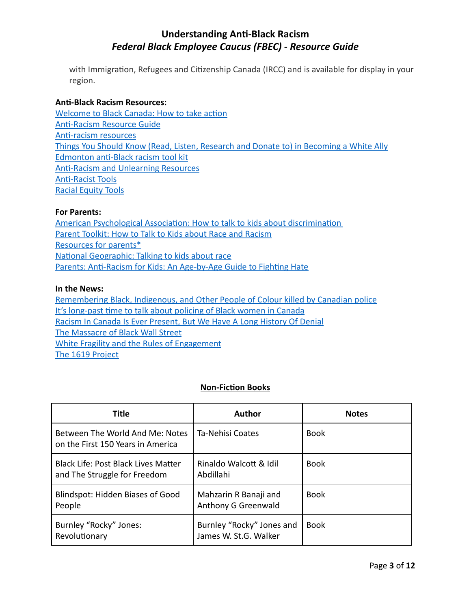with Immigration, Refugees and Citizenship Canada (IRCC) and is available for display in your region.

#### **Anti-Black Racism Resources:**

Welcome to Black Canada: How to take action Anti-Racism Resource Guide Anti-racism resources [Things You Should Know \(Read, Listen, Research and Donate to\) in Becoming a White Ally](https://docs.google.com/document/d/1gnk5E6cpPbgbjT91XEyZQAwpjEQlIcGZRwMx-4ltbnM/edit) Edmonton anti-Black racism tool kit Anti-Racism and Unlearning Resources Anti-Racist Tools [Racial Equity Tools](https://www.racialequitytools.org/home)

#### **For Parents:**

American Psychological Association: How to talk to kids about discrimination [Parent Toolkit: How to Talk to Kids about Race and Racism](https://www.parenttoolkit.com/social-and-emotional-development/advice/social-awareness/how-to-talk-to-kids-about-race-and-racism) [Resources for parents\\*](https://ocdsb.ca/cms/One.aspx?portalId=55478&pageId=208680) National Geographic: Talking to kids about race Parents: Anti-Racism for Kids: An Age-by-Age Guide to Fighting Hate

#### **In the News:**

[Remembering Black, Indigenous, and Other People of Colour killed by Canadian police](https://www.pyriscence.ca/home/2020/5/29/cdnpolice) It's long-past time to talk about policing of Black women in Canada [Racism In Canada Is Ever Present, But We Have A Long History Of Denial](https://www.huffingtonpost.ca/entry/racism-canada-anti-black_ca_5ecd6c6cc5b670f88ad48d5c) [The Massacre of Black Wall Street](https://www.theatlantic.com/sponsored/hbo-2019/the-massacre-of-black-wall-street/3217/) [White Fragility and the Rules of Engagement](https://www.uua.org/sites/live-new.uua.org/files/diangelo-white_fragility_and_the_rules_of_engagement.pdf) [The 1619 Project](https://www.nytimes.com/interactive/2019/08/14/magazine/1619-america-slavery.html)

### **Non-Fiction Books**

| Title                                                                      | <b>Author</b>                                      | <b>Notes</b> |
|----------------------------------------------------------------------------|----------------------------------------------------|--------------|
| Between The World And Me: Notes<br>on the First 150 Years in America       | Ta-Nehisi Coates                                   | <b>Book</b>  |
| <b>Black Life: Post Black Lives Matter</b><br>and The Struggle for Freedom | Rinaldo Walcott & Idil<br>Abdillahi                | <b>Book</b>  |
| Blindspot: Hidden Biases of Good<br>People                                 | Mahzarin R Banaji and<br>Anthony G Greenwald       | <b>Book</b>  |
| Burnley "Rocky" Jones:<br>Revolutionary                                    | Burnley "Rocky" Jones and<br>James W. St.G. Walker | <b>Book</b>  |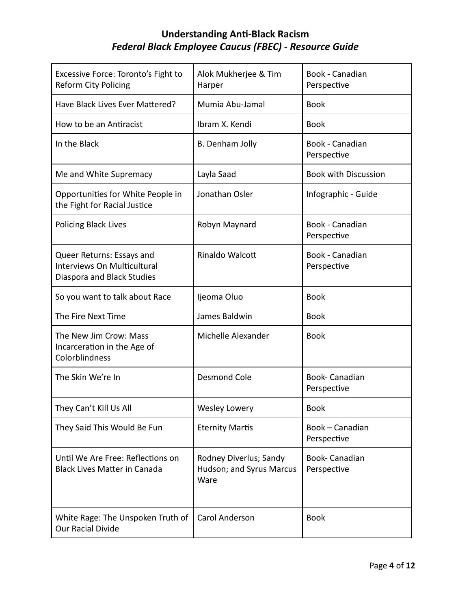| Excessive Force: Toronto's Fight to<br><b>Reform City Policing</b>                            | Alok Mukherjee & Tim<br>Harper                             | Book - Canadian<br>Perspective      |
|-----------------------------------------------------------------------------------------------|------------------------------------------------------------|-------------------------------------|
| Have Black Lives Ever Mattered?                                                               | Mumia Abu-Jamal                                            | <b>Book</b>                         |
| How to be an Antiracist                                                                       | Ibram X. Kendi                                             | <b>Book</b>                         |
| In the Black                                                                                  | B. Denham Jolly                                            | Book - Canadian<br>Perspective      |
| Me and White Supremacy                                                                        | Layla Saad                                                 | <b>Book with Discussion</b>         |
| Opportunities for White People in<br>the Fight for Racial Justice                             | Jonathan Osler                                             | Infographic - Guide                 |
| <b>Policing Black Lives</b>                                                                   | Robyn Maynard                                              | Book - Canadian<br>Perspective      |
| Queer Returns: Essays and<br><b>Interviews On Multicultural</b><br>Diaspora and Black Studies | Rinaldo Walcott                                            | Book - Canadian<br>Perspective      |
| So you want to talk about Race                                                                | Ijeoma Oluo                                                | <b>Book</b>                         |
| The Fire Next Time                                                                            | James Baldwin                                              | <b>Book</b>                         |
| The New Jim Crow: Mass<br>Incarceration in the Age of<br>Colorblindness                       | Michelle Alexander                                         | <b>Book</b>                         |
| The Skin We're In                                                                             | <b>Desmond Cole</b>                                        | Book-Canadian<br>Perspective        |
| They Can't Kill Us All                                                                        | Wesley Lowery                                              | <b>Book</b>                         |
| They Said This Would Be Fun                                                                   | <b>Eternity Martis</b>                                     | Book - Canadian<br>Perspective      |
| Until We Are Free: Reflections on<br><b>Black Lives Matter in Canada</b>                      | Rodney Diverlus; Sandy<br>Hudson; and Syrus Marcus<br>Ware | <b>Book-Canadian</b><br>Perspective |
| White Rage: The Unspoken Truth of<br><b>Our Racial Divide</b>                                 | Carol Anderson                                             | <b>Book</b>                         |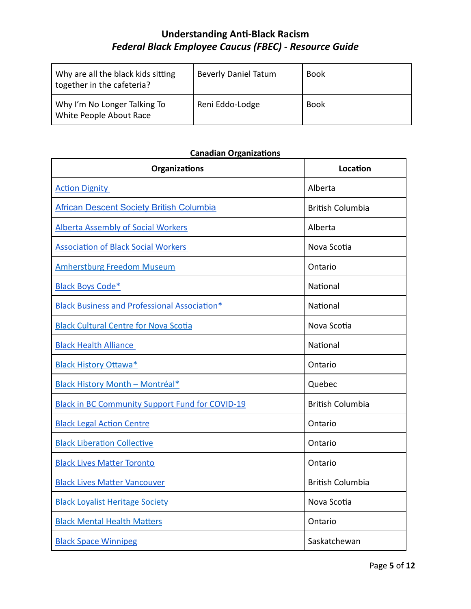| Why are all the black kids sitting<br>together in the cafeteria? | <b>Beverly Daniel Tatum</b> | <b>Book</b> |
|------------------------------------------------------------------|-----------------------------|-------------|
| Why I'm No Longer Talking To<br>White People About Race          | Reni Eddo-Lodge             | <b>Book</b> |

### **Canadian Organizations**

| <b>Organizations</b>                                   | Location                |
|--------------------------------------------------------|-------------------------|
| <b>Action Dignity</b>                                  | Alberta                 |
| <b>African Descent Society British Columbia</b>        | <b>British Columbia</b> |
| <b>Alberta Assembly of Social Workers</b>              | Alberta                 |
| <b>Association of Black Social Workers</b>             | Nova Scotia             |
| <b>Amherstburg Freedom Museum</b>                      | Ontario                 |
| <b>Black Boys Code*</b>                                | National                |
| <b>Black Business and Professional Association*</b>    | National                |
| <b>Black Cultural Centre for Nova Scotia</b>           | Nova Scotia             |
| <b>Black Health Alliance</b>                           | National                |
| <b>Black History Ottawa*</b>                           | Ontario                 |
| <b>Black History Month - Montréal*</b>                 | Quebec                  |
| <b>Black in BC Community Support Fund for COVID-19</b> | <b>British Columbia</b> |
| <b>Black Legal Action Centre</b>                       | Ontario                 |
| <b>Black Liberation Collective</b>                     | Ontario                 |
| <b>Black Lives Matter Toronto</b>                      | Ontario                 |
| <b>Black Lives Matter Vancouver</b>                    | <b>British Columbia</b> |
| <b>Black Loyalist Heritage Society</b>                 | Nova Scotia             |
| <b>Black Mental Health Matters</b>                     | Ontario                 |
| <b>Black Space Winnipeg</b>                            | Saskatchewan            |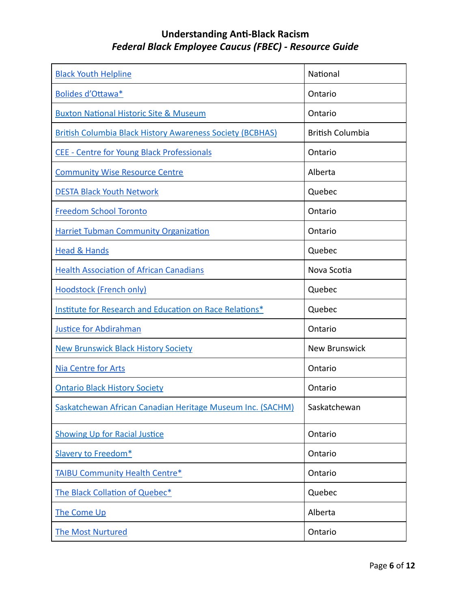| <b>Black Youth Helpline</b>                                      | National                |
|------------------------------------------------------------------|-------------------------|
| Bolides d'Ottawa*                                                | Ontario                 |
| <b>Buxton National Historic Site &amp; Museum</b>                | Ontario                 |
| <b>British Columbia Black History Awareness Society (BCBHAS)</b> | <b>British Columbia</b> |
| CEE - Centre for Young Black Professionals                       | Ontario                 |
| <b>Community Wise Resource Centre</b>                            | Alberta                 |
| <b>DESTA Black Youth Network</b>                                 | Quebec                  |
| <b>Freedom School Toronto</b>                                    | Ontario                 |
| <b>Harriet Tubman Community Organization</b>                     | Ontario                 |
| <b>Head &amp; Hands</b>                                          | Quebec                  |
| <b>Health Association of African Canadians</b>                   | Nova Scotia             |
| <b>Hoodstock (French only)</b>                                   | Quebec                  |
| Institute for Research and Education on Race Relations*          | Quebec                  |
| <b>Justice for Abdirahman</b>                                    | Ontario                 |
| <b>New Brunswick Black History Society</b>                       | <b>New Brunswick</b>    |
| Nia Centre for Arts                                              | Ontario                 |
| <b>Ontario Black History Society</b>                             | Ontario                 |
| Saskatchewan African Canadian Heritage Museum Inc. (SACHM)       | Saskatchewan            |
| <b>Showing Up for Racial Justice</b>                             | Ontario                 |
| <b>Slavery to Freedom*</b>                                       | Ontario                 |
| <b>TAIBU Community Health Centre*</b>                            | Ontario                 |
| The Black Collation of Quebec*                                   | Quebec                  |
| <b>The Come Up</b>                                               | Alberta                 |
| <b>The Most Nurtured</b>                                         | Ontario                 |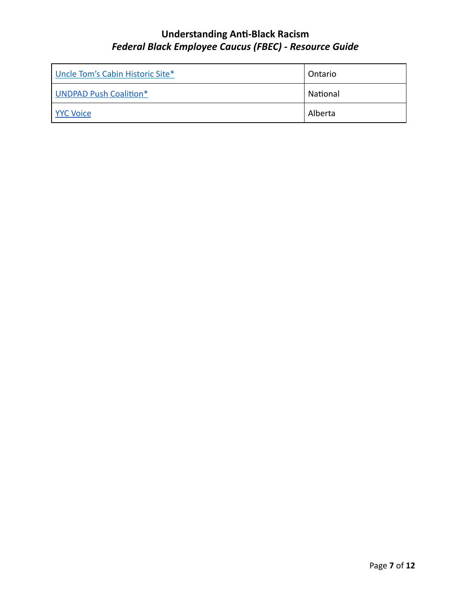| Uncle Tom's Cabin Historic Site* | Ontario         |
|----------------------------------|-----------------|
| UNDPAD Push Coalition*           | <b>National</b> |
| <b>YYC Voice</b>                 | Alberta         |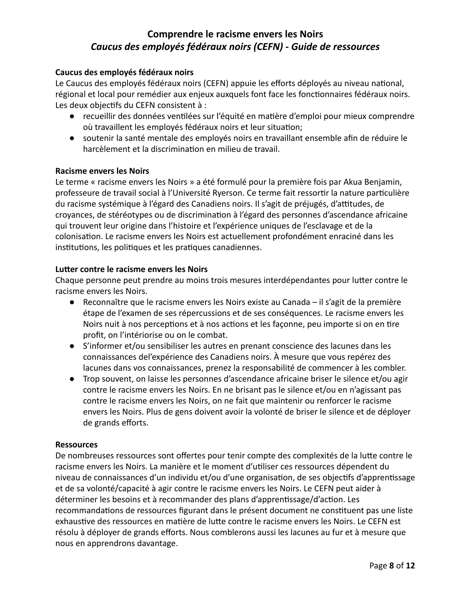#### **Caucus des employés fédéraux noirs**

Le Caucus des employés fédéraux noirs (CEFN) appuie les efforts déployés au niveau national, régional et local pour remédier aux enjeux auxquels font face les fonctionnaires fédéraux noirs. Les deux objectifs du CEFN consistent à :

- recueillir des données ventilées sur l'équité en matière d'emploi pour mieux comprendre où travaillent les employés fédéraux noirs et leur situation;
- soutenir la santé mentale des employés noirs en travaillant ensemble afin de réduire le harcèlement et la discrimination en milieu de travail.

#### **Racisme envers les Noirs**

Le terme « racisme envers les Noirs » a été formulé pour la première fois par Akua Benjamin, professeure de travail social à l'Université Ryerson. Ce terme fait ressortir la nature particulière du racisme systémique à l'égard des Canadiens noirs. Il s'agit de préjugés, d'attitudes, de croyances, de stéréotypes ou de discrimination à l'égard des personnes d'ascendance africaine qui trouvent leur origine dans l'histoire et l'expérience uniques de l'esclavage et de la colonisation. Le racisme envers les Noirs est actuellement profondément enraciné dans les institutions, les politiques et les pratiques canadiennes.

#### **Lutter contre le racisme envers les Noirs**

Chaque personne peut prendre au moins trois mesures interdépendantes pour lutter contre le racisme envers les Noirs.

- Reconnaître que le racisme envers les Noirs existe au Canada il s'agit de la première étape de l'examen de ses répercussions et de ses conséquences. Le racisme envers les Noirs nuit à nos perceptions et à nos actions et les façonne, peu importe si on en tire profit, on l'intériorise ou on le combat.
- S'informer et/ou sensibiliser les autres en prenant conscience des lacunes dans les connaissances del'expérience des Canadiens noirs. À mesure que vous repérez des lacunes dans vos connaissances, prenez la responsabilité de commencer à les combler.
- Trop souvent, on laisse les personnes d'ascendance africaine briser le silence et/ou agir contre le racisme envers les Noirs. En ne brisant pas le silence et/ou en n'agissant pas contre le racisme envers les Noirs, on ne fait que maintenir ou renforcer le racisme envers les Noirs. Plus de gens doivent avoir la volonté de briser le silence et de déployer de grands efforts.

#### **Ressources**

De nombreuses ressources sont offertes pour tenir compte des complexités de la lutte contre le racisme envers les Noirs. La manière et le moment d'utiliser ces ressources dépendent du niveau de connaissances d'un individu et/ou d'une organisation, de ses objectifs d'apprentissage et de sa volonté/capacité à agir contre le racisme envers les Noirs. Le CEFN peut aider à déterminer les besoins et à recommander des plans d'apprentissage/d'action. Les recommandations de ressources figurant dans le présent document ne constituent pas une liste exhaustive des ressources en matière de lutte contre le racisme envers les Noirs. Le CEFN est résolu à déployer de grands efforts. Nous comblerons aussi les lacunes au fur et à mesure que nous en apprendrons davantage.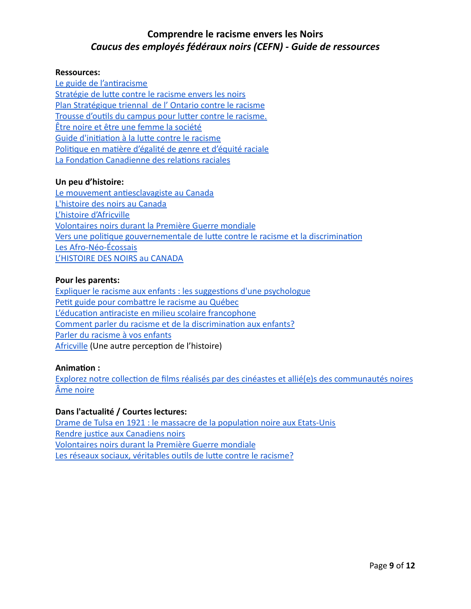#### **Ressources:**

Le guide de l'antiracisme Stratégie de lutte contre le racisme envers les noirs [Plan Stratégique triennal de l' Ontario contre le racisme](https://files.ontario.ca/ar-2001_ard_report_fr_tagged_final-s.pdf) Trousse d'outils du campus pour lutter contre le racisme. [Être noire et être une femme la société](https://www.thecanadianencyclopedia.ca/fr/article/noires-et-militantes-pour-la-liberte) Guide d'initiation à la lutte contre le racisme Politique en matière d'égalité de genre et d'équité raciale La Fondation Canadienne des relations raciales

#### **Un peu d'histoire:**

Le mouvement antiesclavagiste au Canada [L'histoire des noirs au Canada](https://www.bac-lac.gc.ca/fra/decouvrez/immigration/histoire-ethniques-culturels/Pages/noirs.aspx) [L'histoire d'Africville](https://droitsdelapersonne.ca/histoire/lhistoire-dafricville) [Volontaires noirs durant la Première Guerre mondiale](https://www.thecanadianencyclopedia.ca/fr/article/les-volontaires-noirs-et-la-premiere-guerre-mondiale) Vers une politique gouvernementale de lutte contre le racisme et la discrimination [Les Afro-Néo-Écossais](https://novascotia.ca/archives/africanns/results.asp?Search=&SearchList1=2&Language=French) [L'HISTOIRE DES NOIRS au CANADA](http://www.histoiredesnoirsaucanada.com/education/GuidePedagogique.pdf)

#### **Pour les parents:**

Expliquer le racisme aux enfants : les suggestions d'une psychologue Petit guide pour combattre le racisme au Québec L'éducation antiraciste en milieu scolaire francophone Comment parler du racisme et de la discrimination aux enfants? [Parler du racisme à vos enfants](https://www.unicef.ca/fr/blog/parler-du-racisme-vos-enfants) [Africville](https://thecanadianencyclopedia.ca/fr/article/africville) (Une autre perception de l'histoire)

#### Animation :

Explorez notre collection de films réalisés par des cinéastes et allié(e)s des communautés noires [Âme noire](https://www.onf.ca/film/ame_noire/)

#### **Dans l'actualité / Courtes lectures:**

Drame de Tulsa en 1921 : le massacre de la population noire aux Etats-Unis Rendre justice aux Canadiens noirs [Volontaires noirs durant la Première Guerre mondiale](https://www.thecanadianencyclopedia.ca/fr/article/les-volontaires-noirs-et-la-premiere-guerre-mondiale) Les réseaux sociaux, véritables outils de lutte contre le racisme?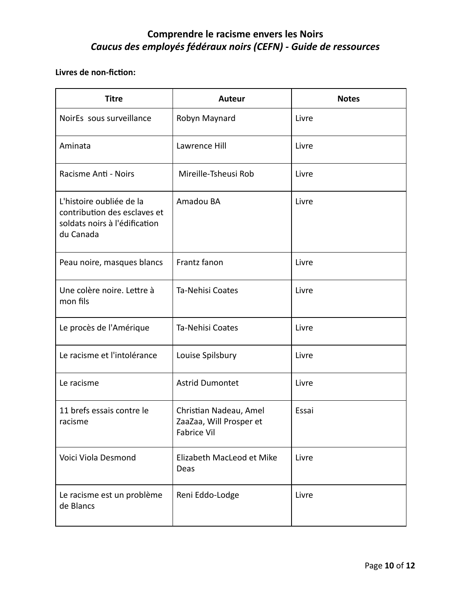### Livres de non-fiction:

| <b>Titre</b>                                                                                           | <b>Auteur</b>                                                    | <b>Notes</b> |
|--------------------------------------------------------------------------------------------------------|------------------------------------------------------------------|--------------|
| NoirEs sous surveillance                                                                               | Robyn Maynard                                                    | Livre        |
| Aminata                                                                                                | Lawrence Hill                                                    | Livre        |
| Racisme Anti - Noirs                                                                                   | Mireille-Tsheusi Rob                                             | Livre        |
| L'histoire oubliée de la<br>contribution des esclaves et<br>soldats noirs à l'édification<br>du Canada | Amadou BA                                                        | Livre        |
| Peau noire, masques blancs                                                                             | Frantz fanon                                                     | Livre        |
| Une colère noire. Lettre à<br>mon fils                                                                 | Ta-Nehisi Coates                                                 | Livre        |
| Le procès de l'Amérique                                                                                | Ta-Nehisi Coates                                                 | Livre        |
| Le racisme et l'intolérance                                                                            | Louise Spilsbury                                                 | Livre        |
| Le racisme                                                                                             | <b>Astrid Dumontet</b>                                           | Livre        |
| 11 brefs essais contre le<br>racisme                                                                   | Christian Nadeau, Amel<br>ZaaZaa, Will Prosper et<br>Fabrice Vil | Essai        |
| Voici Viola Desmond                                                                                    | Elizabeth MacLeod et Mike<br>Deas                                | Livre        |
| Le racisme est un problème<br>de Blancs                                                                | Reni Eddo-Lodge                                                  | Livre        |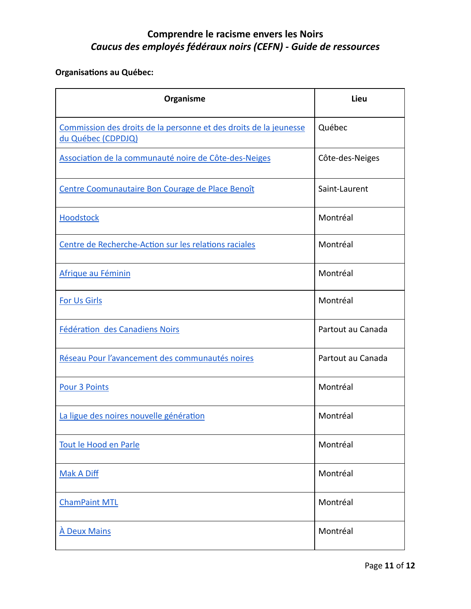### **Organisations au Québec:**

| Organisme                                                                               | Lieu              |
|-----------------------------------------------------------------------------------------|-------------------|
| Commission des droits de la personne et des droits de la jeunesse<br>du Québec (CDPDJQ) | Québec            |
| Association de la communauté noire de Côte-des-Neiges                                   | Côte-des-Neiges   |
| Centre Coomunautaire Bon Courage de Place Benoît                                        | Saint-Laurent     |
| <b>Hoodstock</b>                                                                        | Montréal          |
| Centre de Recherche-Action sur les relations raciales                                   | Montréal          |
| Afrique au Féminin                                                                      | Montréal          |
| For Us Girls                                                                            | Montréal          |
| Fédération des Canadiens Noirs                                                          | Partout au Canada |
| Réseau Pour l'avancement des communautés noires                                         | Partout au Canada |
| Pour 3 Points                                                                           | Montréal          |
| La ligue des noires nouvelle génération                                                 | Montréal          |
| Tout le Hood en Parle                                                                   | Montréal          |
| <b>Mak A Diff</b>                                                                       | Montréal          |
| <b>ChamPaint MTL</b>                                                                    | Montréal          |
| <b>A Deux Mains</b>                                                                     | Montréal          |